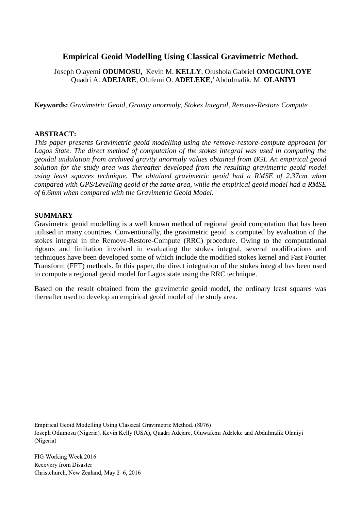# **Empirical Geoid Modelling Using Classical Gravimetric Method.**

Joseph Olayemi **ODUMOSU,** Kevin M. **KELLY**, Olushola Gabriel **OMOGUNLOYE** Quadri A. **ADEJARE**, Olufemi O. **ADELEKE**, ) Abdulmalik. M. **OLANIYI**

**Keywords:** *Gravimetric Geoid, Gravity anormaly, Stokes Integral, Remove-Restore Compute*

#### **ABSTRACT:**

*This paper presents Gravimetric geoid modelling using the remove-restore-compute approach for*  Lagos State. The direct method of computation of the stokes integral was used in computing the *geoidal undulation from archived gravity anormaly values obtained from BGI. An empirical geoid solution for the study area was thereafter developed from the resulting gravimetric geoid model using least squares technique. The obtained gravimetric geoid had a RMSE of 2.37cm when compared with GPS/Levelling geoid of the same area, while the empirical geoid model had a RMSE of 6.6mm when compared with the Gravimetric Geoid Model.*

#### **SUMMARY**

Gravimetric geoid modelling is a well known method of regional geoid computation that has been utilised in many countries. Conventionally, the gravimetric geoid is computed by evaluation of the stokes integral in the Remove-Restore-Compute (RRC) procedure. Owing to the computational rigours and limitation involved in evaluating the stokes integral, several modifications and techniques have been developed some of which include the modified stokes kernel and Fast Fourier Transform (FFT) methods. In this paper, the direct integration of the stokes integral has been used to compute a regional geoid model for Lagos state using the RRC technique.

Based on the result obtained from the gravimetric geoid model, the ordinary least squares was thereafter used to develop an empirical geoid model of the study area.

Empirical Geoid Modelling Using Classical Gravimetric Method. (8076) Joseph Odumosu (Nigeria), Kevin Kelly (USA), Quadri Adejare, Oluwafemi Adeleke and Abdulmalik Olaniyi (Nigeria)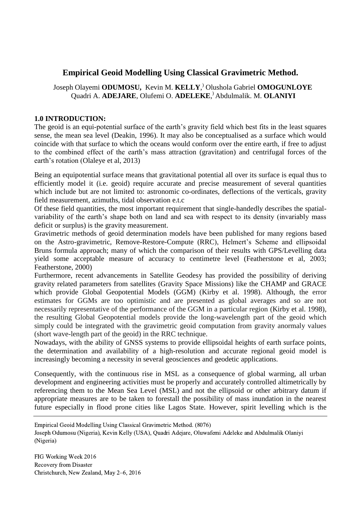# **Empirical Geoid Modelling Using Classical Gravimetric Method.**

Joseph Olayemi **ODUMOSU,** Kevin M. **KELLY**, ) Olushola Gabriel **OMOGUNLOYE** Quadri A. **ADEJARE**, Olufemi O. **ADELEKE**, ) Abdulmalik. M. **OLANIYI**

#### **1.0 INTRODUCTION:**

The geoid is an equi-potential surface of the earth's gravity field which best fits in the least squares sense, the mean sea level (Deakin, 1996). It may also be conceptualised as a surface which would coincide with that surface to which the oceans would conform over the entire earth, if free to adjust to the combined effect of the earth's mass attraction (gravitation) and centrifugal forces of the earth's rotation (Olaleye et al, 2013)

Being an equipotential surface means that gravitational potential all over its surface is equal thus to efficiently model it (i.e. geoid) require accurate and precise measurement of several quantities which include but are not limited to: astronomic co-ordinates, deflections of the verticals, gravity field measurement, azimuths, tidal observation e.t.c

Of these field quantities, the most important requirement that single-handedly describes the spatialvariability of the earth's shape both on land and sea with respect to its density (invariably mass deficit or surplus) is the gravity measurement.

Gravimetric methods of geoid determination models have been published for many regions based on the Astro-gravimetric, Remove-Restore-Compute (RRC), Helmert's Scheme and ellipsoidal Bruns formula approach; many of which the comparison of their results with GPS/Levelling data yield some acceptable measure of accuracy to centimetre level (Featherstone et al, 2003; Featherstone, 2000)

Furthermore, recent advancements in Satellite Geodesy has provided the possibility of deriving gravity related parameters from satellites (Gravity Space Missions) like the CHAMP and GRACE which provide Global Geopotential Models (GGM) (Kirby et al. 1998). Although, the error estimates for GGMs are too optimistic and are presented as global averages and so are not necessarily representative of the performance of the GGM in a particular region (Kirby et al. 1998), the resulting Global Geopotential models provide the long-wavelength part of the geoid which simply could be integrated with the gravimetric geoid computation from gravity anormaly values (short wave-length part of the geoid) in the RRC technique.

Nowadays, with the ability of GNSS systems to provide ellipsoidal heights of earth surface points, the determination and availability of a high-resolution and accurate regional geoid model is increasingly becoming a necessity in several geosciences and geodetic applications.

Consequently, with the continuous rise in MSL as a consequence of global warming, all urban development and engineering activities must be properly and accurately controlled altimetrically by referencing them to the Mean Sea Level (MSL) and not the ellipsoid or other arbitrary datum if appropriate measures are to be taken to forestall the possibility of mass inundation in the nearest future especially in flood prone cities like Lagos State. However, spirit levelling which is the

Empirical Geoid Modelling Using Classical Gravimetric Method. (8076)

Joseph Odumosu (Nigeria), Kevin Kelly (USA), Quadri Adejare, Oluwafemi Adeleke and Abdulmalik Olaniyi (Nigeria)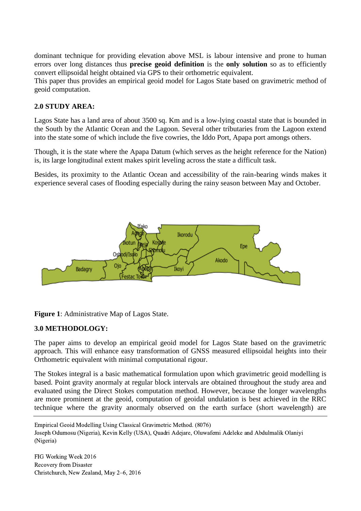dominant technique for providing elevation above MSL is labour intensive and prone to human errors over long distances thus **precise geoid definition** is the **only solution** so as to efficiently convert ellipsoidal height obtained via GPS to their orthometric equivalent.

This paper thus provides an empirical geoid model for Lagos State based on gravimetric method of geoid computation.

### **2.0 STUDY AREA:**

Lagos State has a land area of about 3500 sq. Km and is a low-lying coastal state that is bounded in the South by the Atlantic Ocean and the Lagoon. Several other tributaries from the Lagoon extend into the state some of which include the five cowries, the Iddo Port, Apapa port amongs others.

Though, it is the state where the Apapa Datum (which serves as the height reference for the Nation) is, its large longitudinal extent makes spirit leveling across the state a difficult task.

Besides, its proximity to the Atlantic Ocean and accessibility of the rain-bearing winds makes it experience several cases of flooding especially during the rainy season between May and October.





#### **3.0 METHODOLOGY:**

The paper aims to develop an empirical geoid model for Lagos State based on the gravimetric approach. This will enhance easy transformation of GNSS measured ellipsoidal heights into their Orthometric equivalent with minimal computational rigour.

The Stokes integral is a basic mathematical formulation upon which gravimetric geoid modelling is based. Point gravity anormaly at regular block intervals are obtained throughout the study area and evaluated using the Direct Stokes computation method. However, because the longer wavelengths are more prominent at the geoid, computation of geoidal undulation is best achieved in the RRC technique where the gravity anormaly observed on the earth surface (short wavelength) are

Empirical Geoid Modelling Using Classical Gravimetric Method. (8076) Joseph Odumosu (Nigeria), Kevin Kelly (USA), Quadri Adejare, Oluwafemi Adeleke and Abdulmalik Olaniyi (Nigeria)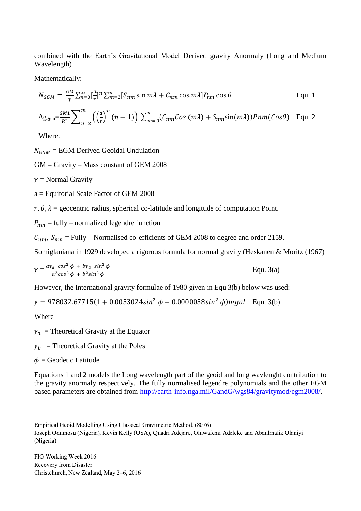combined with the Earth's Gravitational Model Derived gravity Anormaly (Long and Medium Wavelength)

Mathematically:

$$
N_{GGM} = \frac{GM}{\gamma} \sum_{n=0}^{\infty} \left[\frac{a}{r}\right]^n \sum_{m=2}^n [S_{nm} \sin m\lambda + C_{nm} \cos m\lambda] P_{nm} \cos \theta
$$
 Equ. 1  

$$
\Delta g_{\text{ggm}} = \frac{GM}{R^2} \sum_{n=2}^m \left( \left(\frac{a}{r}\right)^n (n-1) \right) \sum_{m=0}^n (C_{nm} \cos (m\lambda) + S_{nm} \sin (m\lambda)) Pnm(\cos \theta)
$$
 Equ. 2

Where:

 $N_{GGM}$  = EGM Derived Geoidal Undulation

 $GM =$  Gravity – Mass constant of GEM 2008

 $\nu$  = Normal Gravity

a = Equitorial Scale Factor of GEM 2008

 $r, \theta, \lambda$  = geocentric radius, spherical co-latitude and longitude of computation Point.

 $P_{nm}$  = fully – normalized legendre function

 $C_{nm}$ ,  $S_{nm}$  = Fully – Normalised co-efficients of GEM 2008 to degree and order 2159.

Somiglaniana in 1929 developed a rigorous formula for normal gravity (Heskanem& Moritz (1967)

$$
\gamma = \frac{a\gamma_a \cos^2 \phi + b\gamma_b \sin^2 \phi}{a^2 \cos^2 \phi + b^2 \sin^2 \phi}
$$
 Equ. 3(a)

However, the International gravity formulae of 1980 given in Equ 3(b) below was used:

 $\gamma = 978032.67715(1 + 0.0053024\sin^2 \phi - 0.0000058\sin^2 \phi)$  mgal Equ. 3(b)

Where

 $\gamma_a$  = Theoretical Gravity at the Equator

 $\gamma_h$  = Theoretical Gravity at the Poles

 $\phi$  = Geodetic Latitude

Equations 1 and 2 models the Long wavelength part of the geoid and long wavlenght contribution to the gravity anormaly respectively. The fully normalised legendre polynomials and the other EGM based parameters are obtained from<http://earth-info.nga.mil/GandG/wgs84/gravitymod/egm2008/>.

Empirical Geoid Modelling Using Classical Gravimetric Method. (8076)

Joseph Odumosu (Nigeria), Kevin Kelly (USA), Quadri Adejare, Oluwafemi Adeleke and Abdulmalik Olaniyi (Nigeria)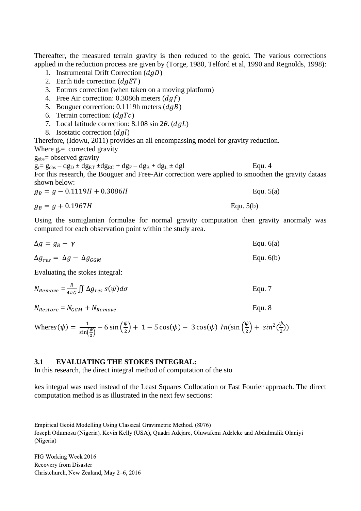Thereafter, the measured terrain gravity is then reduced to the geoid. The various corrections applied in the reduction process are given by (Torge, 1980, Telford et al, 1990 and Regnolds, 1998):

- 1. Instrumental Drift Correction  $(dqD)$
- 2. Earth tide correction  $(dqET)$
- 3. Eotrors correction (when taken on a moving platform)
- 4. Free Air correction: 0.3086h meters  $(daf)$
- 5. Bouguer correction: 0.1119h meters  $(dqB)$
- 6. Terrain correction:  $(dqTc)$
- 7. Local latitude correction:  $8.108 \sin 2\theta$ . (*dal*)
- 8. Isostatic correction  $(dql)$

Therefore, (Idowu, 2011) provides an all encompassing model for gravity reduction.

Where  $g_r$  corrected gravity

 $g_{obs}$ = observed gravity

 $g_f = g_{obs} - dg_D \pm dg_{ET} \pm dg_{EC} + dg_F - dg_B + dg_L \pm dg$ For this research, the Bouguer and Free-Air correction were applied to smoothen the gravity dataas shown below:

$$
g_B = g - 0.1119H + 0.3086H
$$
 Equ. 5(a)

$$
g_B = g + 0.1967H
$$
 Equ. 5(b)

Using the somiglanian formulae for normal gravity computation then gravity anormaly was computed for each observation point within the study area.

| $\Delta g = g_B - \gamma$                    | Equ. $6(a)$ |
|----------------------------------------------|-------------|
| $\Delta g_{res} = \Delta g - \Delta g_{GGM}$ | Equ. $6(b)$ |

Evaluating the stokes integral:

$$
N_{Remove} = \frac{R}{4\pi G} \iint \Delta g_{res} \, s(\psi) d\sigma
$$
 \t\t Equ. 7

 $N_{Restore} = N_{GGM} + N_{Remove}$  Equ. 8

Where
$$
s(\psi) = \frac{1}{\sin(\frac{\psi}{2})} - 6\sin(\frac{\psi}{2}) + 1 - 5\cos(\psi) - 3\cos(\psi) \ln(\sin(\frac{\psi}{2}) + \sin^2(\frac{\psi}{2}))
$$

#### **3.1 EVALUATING THE STOKES INTEGRAL:**

In this research, the direct integral method of computation of the sto

kes integral was used instead of the Least Squares Collocation or Fast Fourier approach. The direct computation method is as illustrated in the next few sections:

Empirical Geoid Modelling Using Classical Gravimetric Method. (8076)

Joseph Odumosu (Nigeria), Kevin Kelly (USA), Quadri Adejare, Oluwafemi Adeleke and Abdulmalik Olaniyi (Nigeria)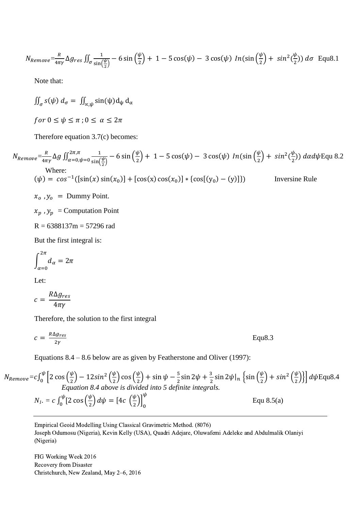$$
N_{Remove} = \frac{R}{4\pi\gamma} \Delta g_{res} \iint_{\sigma} \frac{1}{\sin(\frac{\psi}{2})} - 6\sin(\frac{\psi}{2}) + 1 - 5\cos(\psi) - 3\cos(\psi) \ln(\sin(\frac{\psi}{2}) + \sin^2(\frac{\psi}{2})) d\sigma \quad \text{Equ8.1}
$$

Note that:

 $\iint_{\sigma} s(\psi) d_{\sigma} = \iint_{\alpha, \psi} \sin(\psi) d_{\psi} d_{\alpha}$ for  $0 \leq \psi \leq \pi$ ;  $0 \leq \alpha \leq 2\pi$ 

Therefore equation 3.7(c) becomes:

$$
N_{Remove} = \frac{R}{4\pi\gamma} \Delta g \iint_{\alpha=0,\psi=0}^{2\pi,\pi} \frac{1}{\sin(\frac{\psi}{2})} - 6 \sin(\frac{\psi}{2}) + 1 - 5 \cos(\psi) - 3 \cos(\psi) \ln(\sin(\frac{\psi}{2}) + \sin^2(\frac{\psi}{2})) \, d\alpha d\psi
$$
Equ 8.2  
Where:  

$$
(\psi) = \cos^{-1}([\sin(x)\sin(x_0)] + [\cos(x)\cos(x_0)] * \{\cos[(y_0) - (y)]\})
$$
Inversine Rule

 $x_0$ ,  $y_0$  = Dummy Point.

 $x_p$ ,  $y_p$  = Computation Point

$$
R = 6388137m = 57296 rad
$$

But the first integral is:

$$
\int_{\alpha=0}^{2\pi} d_{\alpha} = 2\pi
$$

Let:

$$
c = \frac{R\Delta g_{res}}{4\pi\gamma}
$$

Therefore, the solution to the first integral

$$
c = \frac{R\Delta g_{res}}{2\gamma}
$$
 Equ8.3

Equations 8.4 – 8.6 below are as given by Featherstone and Oliver (1997):

 $N_{Remove}=c\int_0^{\psi} \left[2\cos\left(\frac{\psi}{2}\right)\right]$  $\frac{\psi}{2}$ ) – 12sin<sup>2</sup>  $\left(\frac{\psi}{2}\right)$  $\frac{\psi}{2}$ ) cos  $\left(\frac{\psi}{2}\right)$  $\left(\frac{\psi}{2}\right)$  + sin  $\psi - \frac{5}{2}$  $\frac{5}{2}$ sin 2 $\psi$  +  $\frac{3}{2}$  $\frac{3}{2}$ sin 2 $\psi|_n$   $\left\{ \sin \left( \frac{\psi}{2} \right)$  $\left(\frac{\psi}{2}\right) + \sin^2\left(\frac{\psi}{2}\right)$  $\frac{\psi}{2} \left[2 \cos \left(\frac{\psi}{2}\right) - 12 \sin^2 \left(\frac{\psi}{2}\right) \cos \left(\frac{\psi}{2}\right) + \sin \psi - \frac{5}{2} \sin 2\psi + \frac{3}{2} \sin 2\psi \right]_n \left\{ \sin \left(\frac{\psi}{2}\right) + \sin^2 \left(\frac{\psi}{2}\right) \right\}$  $\frac{1}{2}$   $\frac{1}{2}$   $\cos\left(\frac{\varphi}{2}\right)$   $- 12\sin^2\left(\frac{\varphi}{2}\right)\cos\left(\frac{\varphi}{2}\right)$   $+ \sin\psi - \frac{3}{2}\sin 2\psi + \frac{3}{2}\sin 2\psi\big|_n \left\{\sin\left(\frac{\varphi}{2}\right) + \sin^2\left(\frac{\varphi}{2}\right)\right\} \right] d\psi$  Equ8.4 *Equation 8.4 above is divided into 5 definite integrals.*

$$
N_{I} = c \int_0^{\psi} [2 \cos \left(\frac{\psi}{2}\right) d\psi = \left[4c \left(\frac{\psi}{2}\right)\right]_0^{\psi}
$$
 Equ 8.5(a)

Empirical Geoid Modelling Using Classical Gravimetric Method. (8076) Joseph Odumosu (Nigeria), Kevin Kelly (USA), Quadri Adejare, Oluwafemi Adeleke and Abdulmalik Olaniyi (Nigeria)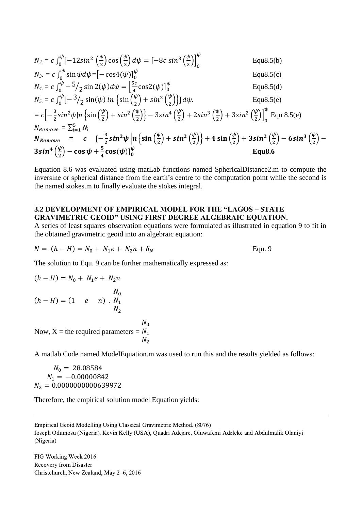$$
N_{2.} = c \int_{0}^{\psi} \left[-12\sin^{2}\left(\frac{\psi}{2}\right)\cos\left(\frac{\psi}{2}\right)d\psi\right] = \left[-8c\sin^{3}\left(\frac{\psi}{2}\right)\right]_{0}^{\psi}
$$
 Equ8.5(b)  
\n
$$
N_{3.} = c \int_{0}^{\psi} \sin\psi d\psi = \left[-\cos(4(\psi))\right]_{0}^{\psi}
$$
 Equ8.5(c)  
\n
$$
N_{4.} = c \int_{0}^{\psi} - \frac{5}{2}\sin(2(\psi))d\psi = \left[\frac{5c}{4}\cos(2(\psi))\right]_{0}^{\psi}
$$
 Equ8.5(d)  
\n
$$
N_{5.} = c \int_{0}^{\psi} \left[-\frac{3}{2}\sin(\psi)\ln\left\{\sin\left(\frac{\psi}{2}\right) + \sin^{2}\left(\frac{\psi}{2}\right)\right\}\right] d\psi.
$$
 Equ8.5(e)  
\n
$$
= c \left[-\frac{3}{2}\sin^{2}\psi\ln\left\{\sin\left(\frac{\psi}{2}\right) + \sin^{2}\left(\frac{\psi}{2}\right)\right\} - 3\sin^{4}\left(\frac{\psi}{2}\right) + 2\sin^{3}\left(\frac{\psi}{2}\right) + 3\sin^{2}\left(\frac{\psi}{2}\right)\right\}^{\psi}
$$
 Equ8.5(e)  
\n
$$
N_{Remove} = \sum_{i=1}^{5} N_{i}
$$
  
\n
$$
N_{Remove} = c \left[-\frac{3}{2}\sin^{2}\psi\ln\left\{\sin\left(\frac{\psi}{2}\right) + \sin^{2}\left(\frac{\psi}{2}\right)\right\} + 4\sin\left(\frac{\psi}{2}\right) + 3\sin^{2}\left(\frac{\psi}{2}\right) - 6\sin^{3}\left(\frac{\psi}{2}\right) - 3\sin^{4}\left(\frac{\psi}{2}\right) - \cos\psi + \frac{5}{4}\cos(\psi)\right]_{0}^{\psi}
$$
Equ8.6

Equation 8.6 was evaluated using matLab functions named SphericalDistance2.m to compute the inversine or spherical distance from the earth's centre to the computation point while the second is the named stokes.m to finally evaluate the stokes integral.

#### **3.2 DEVELOPMENT OF EMPIRICAL MODEL FOR THE "LAGOS – STATE GRAVIMETRIC GEOID" USING FIRST DEGREE ALGEBRAIC EQUATION.**

A series of least squares observation equations were formulated as illustrated in equation 9 to fit in the obtained gravimetric geoid into an algebraic equation:

$$
N = (h - H) = N_0 + N_1 e + N_2 n + \delta_N
$$
 Equ. 9

 $N_0$  $N_1$  $N_{2}$ 

The solution to Equ. 9 can be further mathematically expressed as:

$$
(h - H) = N_0 + N_1 e + N_2 n
$$
  

$$
N_0
$$
  

$$
(h - H) = (1 e n) . N_1
$$
  

$$
N_2
$$
  
Now, X = the required parameters =

A matlab Code named ModelEquation.m was used to run this and the results yielded as follows:

 $N_0 = 28.08584$  $N_1 = -0.00000842$  $N_2 = 0.0000000000639972$ 

Therefore, the empirical solution model Equation yields:

Empirical Geoid Modelling Using Classical Gravimetric Method. (8076) Joseph Odumosu (Nigeria), Kevin Kelly (USA), Quadri Adejare, Oluwafemi Adeleke and Abdulmalik Olaniyi (Nigeria)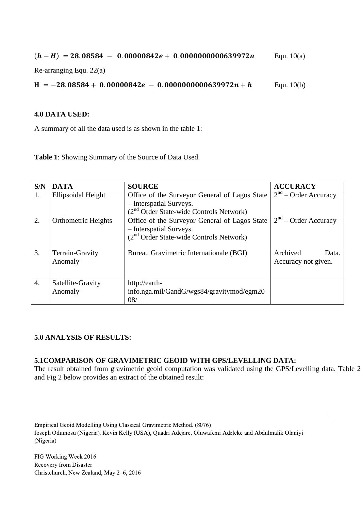$(h - H) = 28.08584 - 0.00000842e + 0.000000000639972n$  Equ. 10(a)

Re-arranging Equ. 22(a)

 $H = -28.08584 + 0.00000842e - 0.000000000639972n + h$  Equ. 10(b)

#### **4.0 DATA USED:**

A summary of all the data used is as shown in the table 1:

**Table 1**: Showing Summary of the Source of Data Used.

| S/N | <b>DATA</b>                | <b>SOURCE</b>                                 | <b>ACCURACY</b>        |
|-----|----------------------------|-----------------------------------------------|------------------------|
| 1.  | Ellipsoidal Height         | Office of the Surveyor General of Lagos State | $2nd$ – Order Accuracy |
|     |                            | - Interspatial Surveys.                       |                        |
|     |                            | $(2nd Order State-wide Controls Network)$     |                        |
| 2.  | <b>Orthometric Heights</b> | Office of the Surveyor General of Lagos State | $2nd$ – Order Accuracy |
|     |                            | - Interspatial Surveys.                       |                        |
|     |                            | $(2nd Order State-wide Controls Network)$     |                        |
|     |                            |                                               |                        |
| 3.  | Terrain-Gravity            | Bureau Gravimetric Internationale (BGI)       | Archived<br>Data.      |
|     | Anomaly                    |                                               | Accuracy not given.    |
|     |                            |                                               |                        |
| 4.  | Satellite-Gravity          | http://earth-                                 |                        |
|     | Anomaly                    | info.nga.mil/GandG/wgs84/gravitymod/egm20     |                        |
|     |                            | 08/                                           |                        |

### **5.0 ANALYSIS OF RESULTS:**

### **5.1COMPARISON OF GRAVIMETRIC GEOID WITH GPS/LEVELLING DATA:**

The result obtained from gravimetric geoid computation was validated using the GPS/Levelling data. Table 2 and Fig 2 below provides an extract of the obtained result:

Empirical Geoid Modelling Using Classical Gravimetric Method. (8076)

Joseph Odumosu (Nigeria), Kevin Kelly (USA), Quadri Adejare, Oluwafemi Adeleke and Abdulmalik Olaniyi (Nigeria)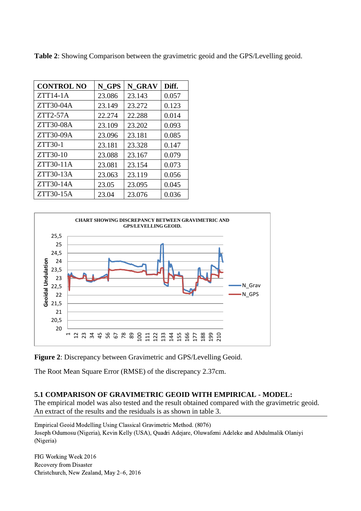| <b>CONTROL NO</b> | N GPS  | N GRAV | Diff. |
|-------------------|--------|--------|-------|
| $ZTT14-1A$        | 23.086 | 23.143 | 0.057 |
| ZTT30-04A         | 23.149 | 23.272 | 0.123 |
| $ZTT2-57A$        | 22.274 | 22.288 | 0.014 |
| ZTT30-08A         | 23.109 | 23.202 | 0.093 |
| ZTT30-09A         | 23.096 | 23.181 | 0.085 |
| ZTT30-1           | 23.181 | 23.328 | 0.147 |
| ZTT30-10          | 23.088 | 23.167 | 0.079 |
| ZTT30-11A         | 23.081 | 23.154 | 0.073 |
| ZTT30-13A         | 23.063 | 23.119 | 0.056 |
| ZTT30-14A         | 23.05  | 23.095 | 0.045 |
| ZTT30-15A         | 23.04  | 23.076 | 0.036 |

**Table 2**: Showing Comparison between the gravimetric geoid and the GPS/Levelling geoid.



**Figure 2**: Discrepancy between Gravimetric and GPS/Levelling Geoid.

The Root Mean Square Error (RMSE) of the discrepancy 2.37cm.

#### **5.1 COMPARISON OF GRAVIMETRIC GEOID WITH EMPIRICAL - MODEL:**

The empirical model was also tested and the result obtained compared with the gravimetric geoid. An extract of the results and the residuals is as shown in table 3.

Empirical Geoid Modelling Using Classical Gravimetric Method. (8076) Joseph Odumosu (Nigeria), Kevin Kelly (USA), Quadri Adejare, Oluwafemi Adeleke and Abdulmalik Olaniyi (Nigeria)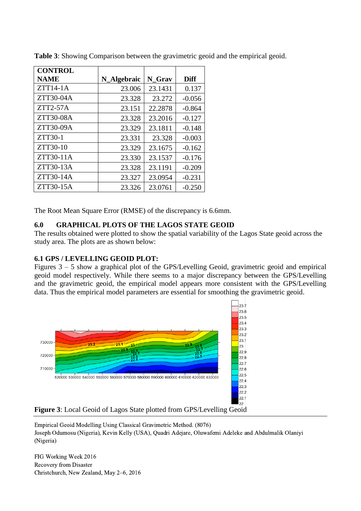| <b>CONTROL</b> |             |         |          |
|----------------|-------------|---------|----------|
| <b>NAME</b>    | N_Algebraic | N Grav  | Diff     |
| $ZTT14-1A$     | 23.006      | 23.1431 | 0.137    |
| ZTT30-04A      | 23.328      | 23.272  | $-0.056$ |
| $ZTT2-57A$     | 23.151      | 22.2878 | $-0.864$ |
| ZTT30-08A      | 23.328      | 23.2016 | $-0.127$ |
| ZTT30-09A      | 23.329      | 23.1811 | $-0.148$ |
| ZTT30-1        | 23.331      | 23.328  | $-0.003$ |
| ZTT30-10       | 23.329      | 23.1675 | $-0.162$ |
| ZTT30-11A      | 23.330      | 23.1537 | $-0.176$ |
| ZTT30-13A      | 23.328      | 23.1191 | $-0.209$ |
| ZTT30-14A      | 23.327      | 23.0954 | $-0.231$ |
| ZTT30-15A      | 23.326      | 23.0761 | $-0.250$ |

**Table 3**: Showing Comparison between the gravimetric geoid and the empirical geoid.

The Root Mean Square Error (RMSE) of the discrepancy is 6.6mm.

### **6.0 GRAPHICAL PLOTS OF THE LAGOS STATE GEOID**

The results obtained were plotted to show the spatial variability of the Lagos State geoid across the study area. The plots are as shown below:

## **6.1 GPS / LEVELLING GEOID PLOT:**

Figures  $3 - 5$  show a graphical plot of the GPS/Levelling Geoid, gravimetric geoid and empirical geoid model respectively. While there seems to a major discrepancy between the GPS/Levelling and the gravimetric geoid, the empirical model appears more consistent with the GPS/Levelling data. Thus the empirical model parameters are essential for smoothing the gravimetric geoid.





Empirical Geoid Modelling Using Classical Gravimetric Method. (8076) Joseph Odumosu (Nigeria), Kevin Kelly (USA), Quadri Adejare, Oluwafemi Adeleke and Abdulmalik Olaniyi (Nigeria)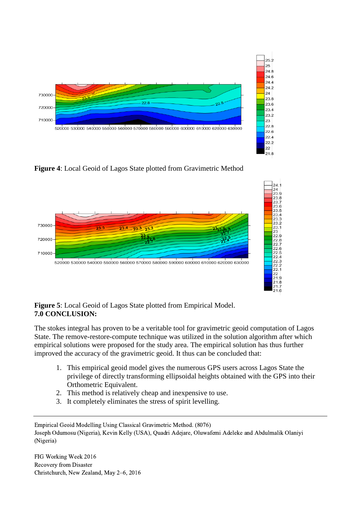

 $22$  $21.8$ 

**Figure 4**: Local Geoid of Lagos State plotted from Gravimetric Method



### **Figure 5**: Local Geoid of Lagos State plotted from Empirical Model. **7.0 CONCLUSION:**

The stokes integral has proven to be a veritable tool for gravimetric geoid computation of Lagos State. The remove-restore-compute technique was utilized in the solution algorithm after which empirical solutions were proposed for the study area. The empirical solution has thus further improved the accuracy of the gravimetric geoid. It thus can be concluded that:

- 1. This empirical geoid model gives the numerous GPS users across Lagos State the privilege of directly transforming ellipsoidal heights obtained with the GPS into their Orthometric Equivalent.
- 2. This method is relatively cheap and inexpensive to use.
- 3. It completely eliminates the stress of spirit levelling.

Empirical Geoid Modelling Using Classical Gravimetric Method. (8076) Joseph Odumosu (Nigeria), Kevin Kelly (USA), Quadri Adejare, Oluwafemi Adeleke and Abdulmalik Olaniyi (Nigeria)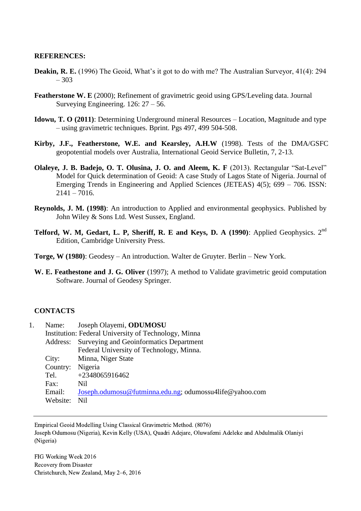#### **REFERENCES:**

- **Deakin, R. E.** (1996) The Geoid, What's it got to do with me? The Australian Surveyor, 41(4): 294 – 303
- **Featherstone W. E** (2000); Refinement of gravimetric geoid using GPS/Leveling data. Journal Surveying Engineering. 126: 27 – 56.
- **Idowu, T. O (2011)**: Determining Underground mineral Resources Location, Magnitude and type – using gravimetric techniques. Bprint. Pgs 497, 499 504-508.
- **Kirby, J.F., Featherstone, W.E. and Kearsley, A.H.W** (1998). Tests of the DMA/GSFC geopotential models over Australia, International Geoid Service Bulletin, 7, 2-13.
- **Olaleye, J. B. Badejo, O. T. Olusina, J. O. and Aleem, K. F** (2013). Rectangular "Sat-Level" Model for Quick determination of Geoid: A case Study of Lagos State of Nigeria. Journal of Emerging Trends in Engineering and Applied Sciences (JETEAS) 4(5); 699 – 706. ISSN:  $2141 - 7016.$
- **Reynolds, J. M. (1998)**: An introduction to Applied and environmental geophysics. Published by John Wiley & Sons Ltd. West Sussex, England.
- **Telford, W. M, Gedart, L. P, Sheriff, R. E and Keys, D. A (1990)**: Applied Geophysics. 2nd Edition, Cambridge University Press.
- **Torge, W (1980)**: Geodesy An introduction. Walter de Gruyter. Berlin New York.
- **W. E. Feathestone and J. G. Oliver** (1997); A method to Validate gravimetric geoid computation Software. Journal of Geodesy Springer.

#### **CONTACTS**

| 1. | Name:            | Joseph Olayemi, ODUMOSU                                 |  |  |
|----|------------------|---------------------------------------------------------|--|--|
|    |                  | Institution: Federal University of Technology, Minna    |  |  |
|    |                  | Address: Surveying and Geoinformatics Department        |  |  |
|    |                  | Federal University of Technology, Minna.                |  |  |
|    | City:            | Minna, Niger State                                      |  |  |
|    | Country: Nigeria |                                                         |  |  |
|    | Tel.             | +2348065916462                                          |  |  |
|    | Fax:             | Nil                                                     |  |  |
|    | Email:           | Joseph.odumosu@futminna.edu.ng; odumossu4life@yahoo.com |  |  |
|    | Website:         | N <sub>il</sub>                                         |  |  |

Empirical Geoid Modelling Using Classical Gravimetric Method. (8076) Joseph Odumosu (Nigeria), Kevin Kelly (USA), Quadri Adejare, Oluwafemi Adeleke and Abdulmalik Olaniyi (Nigeria)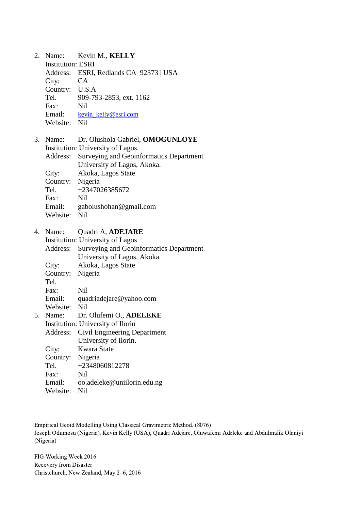| 2. | Name:                    | Kevin M., KELLY                                |
|----|--------------------------|------------------------------------------------|
|    | <b>Institution: ESRI</b> |                                                |
|    |                          | Address: ESRI, Redlands CA 92373   USA         |
|    | City:                    | <b>CA</b>                                      |
|    | Country: U.S.A           |                                                |
|    | Tel.                     | 909-793-2853, ext. 1162                        |
|    | Fax:                     | N <sub>il</sub>                                |
|    |                          | Email: kevin kelly@esri.com                    |
|    | Website: Nil             |                                                |
| 3. | Name:                    | Dr. Olushola Gabriel, OMOGUNLOYE               |
|    |                          | <b>Institution: University of Lagos</b>        |
|    | Address:                 | <b>Surveying and Geoinformatics Department</b> |
|    |                          | University of Lagos, Akoka.                    |
|    | City:                    | Akoka, Lagos State                             |
|    | Country: Nigeria         |                                                |
|    | Tel.                     | +2347026385672                                 |
|    | Fax:                     | Nil                                            |
|    |                          | Email: gabolushohan@gmail.com                  |
|    | Website: Nil             |                                                |
|    | 4. Name:                 | Quadri A, ADEJARE                              |
|    |                          | <b>Institution: University of Lagos</b>        |
|    | Address:                 | Surveying and Geoinformatics Department        |
|    |                          | University of Lagos, Akoka.                    |
|    | City:                    | Akoka, Lagos State                             |
|    | Country: Nigeria         |                                                |
|    | Tel.                     |                                                |
|    | Fax:                     | <b>Nil</b>                                     |
|    |                          | Email: quadriadejare@yahoo.com                 |
|    | Website:                 | <b>Nil</b>                                     |
| 5. | Name:                    | Dr. Olufemi O., ADELEKE                        |
|    |                          | Institution: University of Ilorin              |
|    | Address:                 | Civil Engineering Department                   |
|    |                          | University of Ilorin.                          |
|    | City:                    | Kwara State                                    |
|    | Country:                 | Nigeria                                        |
|    | Tel.                     | +2348060812278                                 |
|    | Fax:                     | <b>Nil</b>                                     |
|    | Email:                   | oo.adeleke@uniilorin.edu.ng                    |
|    | Website:                 | Nil                                            |

Empirical Geoid Modelling Using Classical Gravimetric Method. (8076)

Joseph Odumosu (Nigeria), Kevin Kelly (USA), Quadri Adejare, Oluwafemi Adeleke and Abdulmalik Olaniyi (Nigeria)